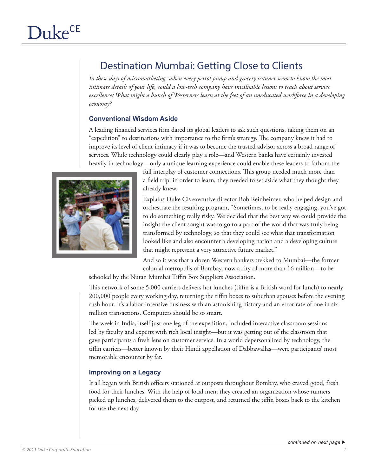# Destination Mumbai: Getting Close to Clients

*In these days of micromarketing, when every petrol pump and grocery scanner seem to know the most intimate details of your life, could a low-tech company have invaluable lessons to teach about service excellence? What might a bunch of Westerners learn at the feet of an uneducated workforce in a developing economy?* 

# **Conventional Wisdom Aside**

A leading financial services firm dared its global leaders to ask such questions, taking them on an "expedition" to destinations with importance to the firm's strategy. The company knew it had to improve its level of client intimacy if it was to become the trusted advisor across a broad range of services. While technology could clearly play a role—and Western banks have certainly invested heavily in technology—only a unique learning experience could enable these leaders to fathom the



full interplay of customer connections. This group needed much more than a field trip: in order to learn, they needed to set aside what they thought they already knew.

Explains Duke CE executive director Bob Reinheimer, who helped design and orchestrate the resulting program, "Sometimes, to be really engaging, you've got to do something really risky. We decided that the best way we could provide the insight the client sought was to go to a part of the world that was truly being transformed by technology, so that they could see what that transformation looked like and also encounter a developing nation and a developing culture that might represent a very attractive future market."

And so it was that a dozen Western bankers trekked to Mumbai—the former colonial metropolis of Bombay, now a city of more than 16 million—to be

schooled by the Nutan Mumbai Tiffin Box Suppliers Association.

This network of some 5,000 carriers delivers hot lunches (tiffin is a British word for lunch) to nearly 200,000 people every working day, returning the tiffin boxes to suburban spouses before the evening rush hour. It's a labor-intensive business with an astonishing history and an error rate of one in six million transactions. Computers should be so smart.

The week in India, itself just one leg of the expedition, included interactive classroom sessions led by faculty and experts with rich local insight—but it was getting out of the classroom that gave participants a fresh lens on customer service. In a world depersonalized by technology, the tiffin carriers—better known by their Hindi appellation of Dabbawallas—were participants' most memorable encounter by far.

### **Improving on a Legacy**

It all began with British officers stationed at outposts throughout Bombay, who craved good, fresh food for their lunches. With the help of local men, they created an organization whose runners picked up lunches, delivered them to the outpost, and returned the tiffin boxes back to the kitchen for use the next day.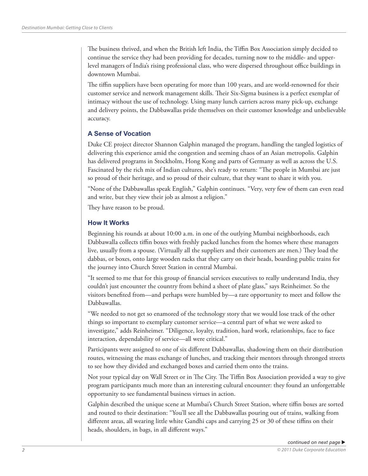The business thrived, and when the British left India, the Tiffin Box Association simply decided to continue the service they had been providing for decades, turning now to the middle- and upperlevel managers of India's rising professional class, who were dispersed throughout office buildings in downtown Mumbai.

The tiffin suppliers have been operating for more than 100 years, and are world-renowned for their customer service and network management skills. Their Six-Sigma business is a perfect exemplar of intimacy without the use of technology. Using many lunch carriers across many pick-up, exchange and delivery points, the Dabbawallas pride themselves on their customer knowledge and unbelievable accuracy.

# **A Sense of Vocation**

Duke CE project director Shannon Galphin managed the program, handling the tangled logistics of delivering this experience amid the congestion and seeming chaos of an Asian metropolis. Galphin has delivered programs in Stockholm, Hong Kong and parts of Germany as well as across the U.S. Fascinated by the rich mix of Indian cultures, she's ready to return: "The people in Mumbai are just so proud of their heritage, and so proud of their culture, that they want to share it with you.

"None of the Dabbawallas speak English," Galphin continues. "Very, very few of them can even read and write, but they view their job as almost a religion."

They have reason to be proud.

### **How It Works**

Beginning his rounds at about 10:00 a.m. in one of the outlying Mumbai neighborhoods, each Dabbawalla collects tiffin boxes with freshly packed lunches from the homes where these managers live, usually from a spouse. (Virtually all the suppliers and their customers are men.) They load the dabbas, or boxes, onto large wooden racks that they carry on their heads, boarding public trains for the journey into Church Street Station in central Mumbai.

"It seemed to me that for this group of financial services executives to really understand India, they couldn't just encounter the country from behind a sheet of plate glass," says Reinheimer. So the visitors benefited from—and perhaps were humbled by—a rare opportunity to meet and follow the Dabbawallas.

"We needed to not get so enamored of the technology story that we would lose track of the other things so important to exemplary customer service—a central part of what we were asked to investigate," adds Reinheimer. "Diligence, loyalty, tradition, hard work, relationships, face to face interaction, dependability of service—all were critical."

Participants were assigned to one of six different Dabbawallas, shadowing them on their distribution routes, witnessing the mass exchange of lunches, and tracking their mentors through thronged streets to see how they divided and exchanged boxes and carried them onto the trains.

Not your typical day on Wall Street or in The City. The Tiffin Box Association provided a way to give program participants much more than an interesting cultural encounter: they found an unforgettable opportunity to see fundamental business virtues in action.

Galphin described the unique scene at Mumbai's Church Street Station, where tiffin boxes are sorted and routed to their destination: "You'll see all the Dabbawallas pouring out of trains, walking from different areas, all wearing little white Gandhi caps and carrying 25 or 30 of these tiffins on their heads, shoulders, in bags, in all different ways."